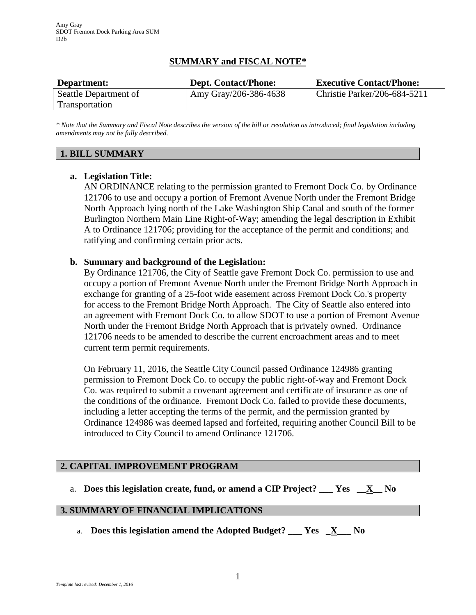# **SUMMARY and FISCAL NOTE\***

| Department:           | <b>Dept. Contact/Phone:</b> | <b>Executive Contact/Phone:</b> |
|-----------------------|-----------------------------|---------------------------------|
| Seattle Department of | Amy Gray/206-386-4638       | Christie Parker/206-684-5211    |
| Transportation        |                             |                                 |

*\* Note that the Summary and Fiscal Note describes the version of the bill or resolution as introduced; final legislation including amendments may not be fully described.*

### **1. BILL SUMMARY**

### **a. Legislation Title:**

AN ORDINANCE relating to the permission granted to Fremont Dock Co. by Ordinance 121706 to use and occupy a portion of Fremont Avenue North under the Fremont Bridge North Approach lying north of the Lake Washington Ship Canal and south of the former Burlington Northern Main Line Right-of-Way; amending the legal description in Exhibit A to Ordinance 121706; providing for the acceptance of the permit and conditions; and ratifying and confirming certain prior acts.

### **b. Summary and background of the Legislation:**

By Ordinance 121706, the City of Seattle gave Fremont Dock Co. permission to use and occupy a portion of Fremont Avenue North under the Fremont Bridge North Approach in exchange for granting of a 25-foot wide easement across Fremont Dock Co.'s property for access to the Fremont Bridge North Approach. The City of Seattle also entered into an agreement with Fremont Dock Co. to allow SDOT to use a portion of Fremont Avenue North under the Fremont Bridge North Approach that is privately owned. Ordinance 121706 needs to be amended to describe the current encroachment areas and to meet current term permit requirements.

On February 11, 2016, the Seattle City Council passed Ordinance 124986 granting permission to Fremont Dock Co. to occupy the public right-of-way and Fremont Dock Co. was required to submit a covenant agreement and certificate of insurance as one of the conditions of the ordinance. Fremont Dock Co. failed to provide these documents, including a letter accepting the terms of the permit, and the permission granted by Ordinance 124986 was deemed lapsed and forfeited, requiring another Council Bill to be introduced to City Council to amend Ordinance 121706.

# **2. CAPITAL IMPROVEMENT PROGRAM**

a. **Does this legislation create, fund, or amend a CIP Project? \_\_\_ Yes \_\_X\_\_ No**

#### **3. SUMMARY OF FINANCIAL IMPLICATIONS**

a. **Does this legislation amend the Adopted Budget? \_\_\_ Yes \_X\_\_\_ No**